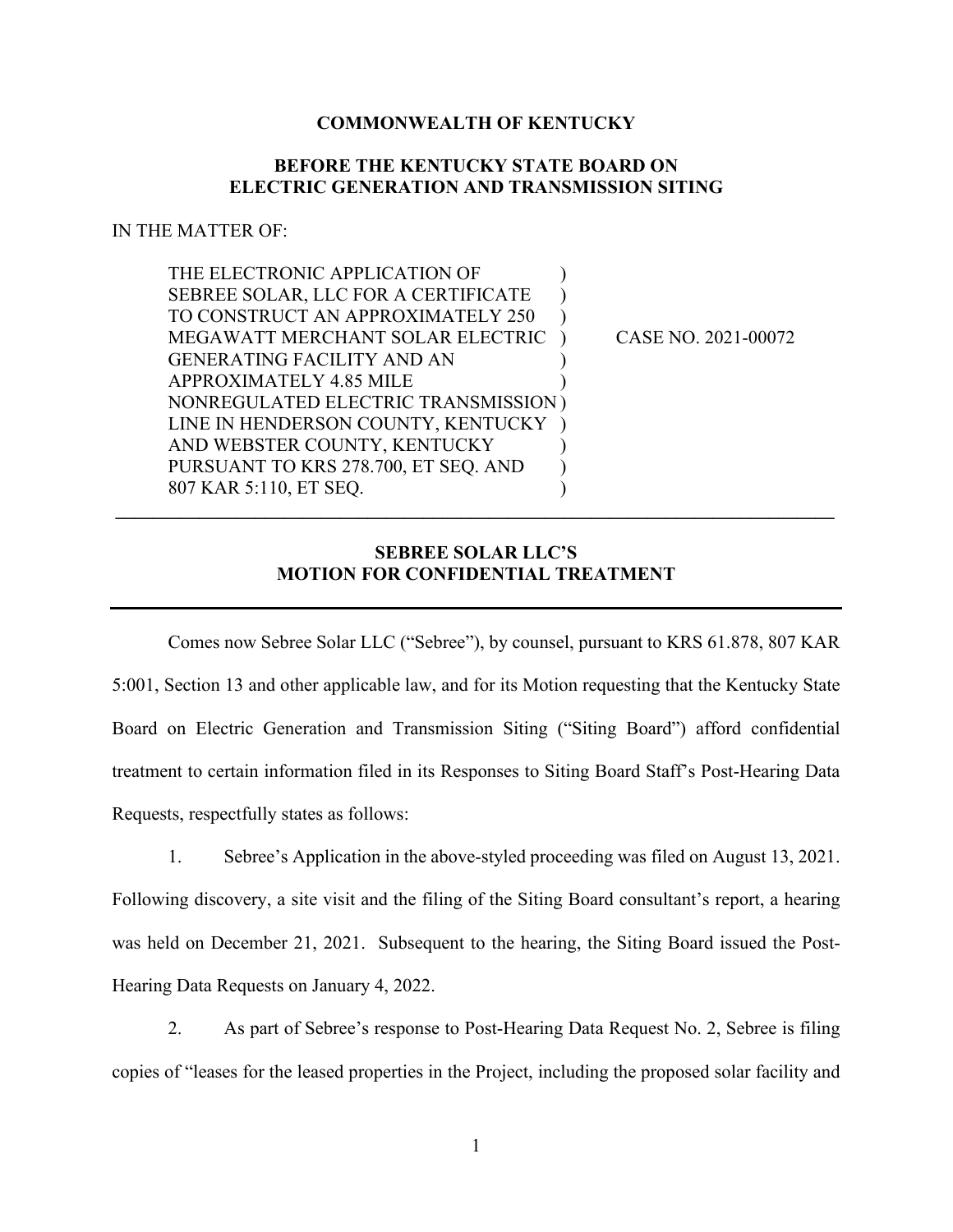## **COMMONWEALTH OF KENTUCKY**

## **BEFORE THE KENTUCKY STATE BOARD ON ELECTRIC GENERATION AND TRANSMISSION SITING**

## IN THE MATTER OF:

| THE ELECTRONIC APPLICATION OF        |                     |
|--------------------------------------|---------------------|
| SEBREE SOLAR, LLC FOR A CERTIFICATE  |                     |
| TO CONSTRUCT AN APPROXIMATELY 250    |                     |
| MEGAWATT MERCHANT SOLAR ELECTRIC     | CASE NO. 2021-00072 |
| <b>GENERATING FACILITY AND AN</b>    |                     |
| <b>APPROXIMATELY 4.85 MILE</b>       |                     |
| NONREGULATED ELECTRIC TRANSMISSION)  |                     |
| LINE IN HENDERSON COUNTY, KENTUCKY   |                     |
| AND WEBSTER COUNTY, KENTUCKY         |                     |
| PURSUANT TO KRS 278.700, ET SEQ. AND |                     |
| 807 KAR 5:110, ET SEO.               |                     |
|                                      |                     |

## **SEBREE SOLAR LLC'S MOTION FOR CONFIDENTIAL TREATMENT**

Comes now Sebree Solar LLC ("Sebree"), by counsel, pursuant to KRS 61.878, 807 KAR 5:001, Section 13 and other applicable law, and for its Motion requesting that the Kentucky State Board on Electric Generation and Transmission Siting ("Siting Board") afford confidential treatment to certain information filed in its Responses to Siting Board Staff's Post-Hearing Data Requests, respectfully states as follows:

1. Sebree's Application in the above-styled proceeding was filed on August 13, 2021. Following discovery, a site visit and the filing of the Siting Board consultant's report, a hearing was held on December 21, 2021. Subsequent to the hearing, the Siting Board issued the Post-Hearing Data Requests on January 4, 2022.

2. As part of Sebree's response to Post-Hearing Data Request No. 2, Sebree is filing copies of "leases for the leased properties in the Project, including the proposed solar facility and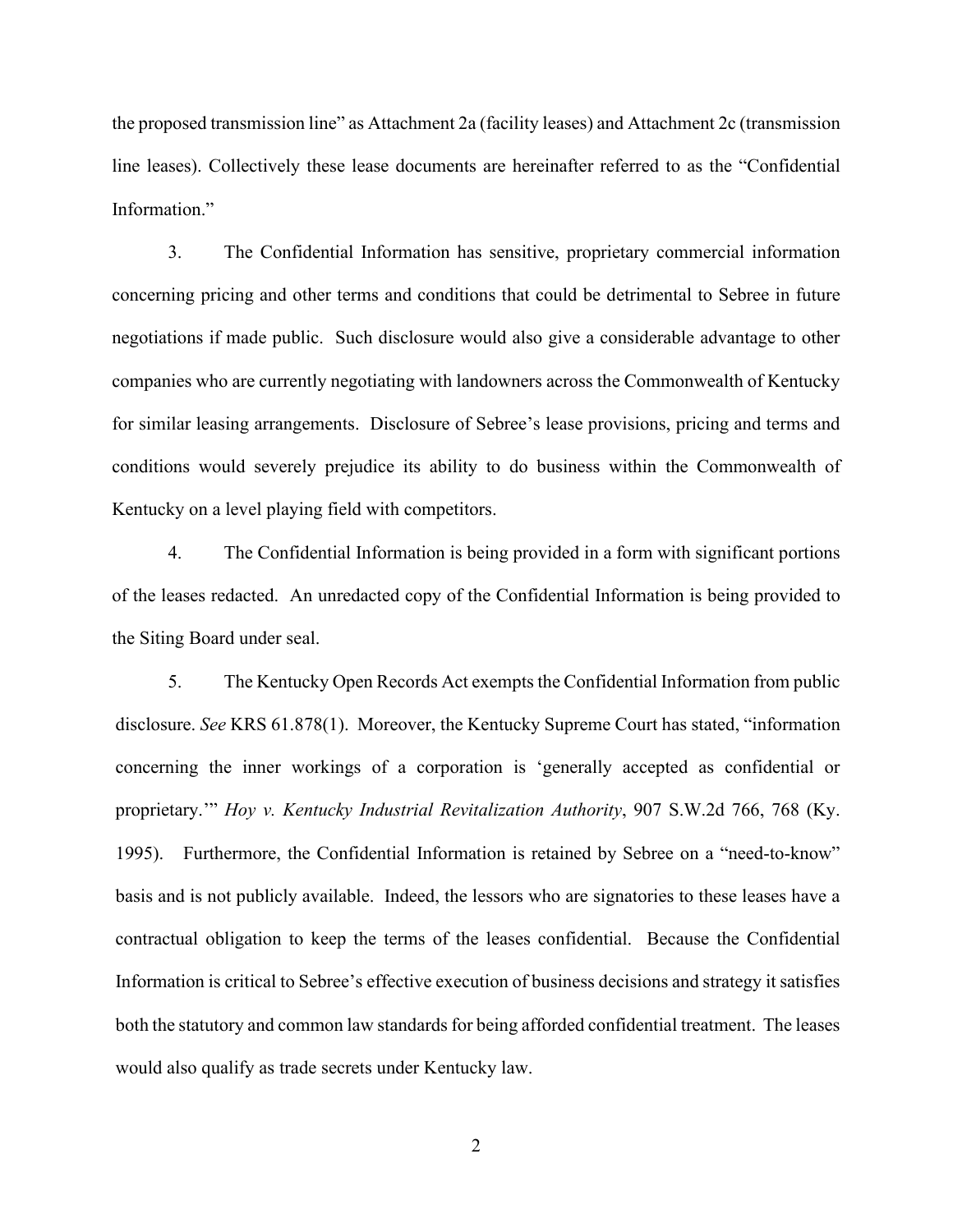the proposed transmission line" as Attachment 2a (facility leases) and Attachment 2c (transmission line leases). Collectively these lease documents are hereinafter referred to as the "Confidential Information."

3. The Confidential Information has sensitive, proprietary commercial information concerning pricing and other terms and conditions that could be detrimental to Sebree in future negotiations if made public. Such disclosure would also give a considerable advantage to other companies who are currently negotiating with landowners across the Commonwealth of Kentucky for similar leasing arrangements. Disclosure of Sebree's lease provisions, pricing and terms and conditions would severely prejudice its ability to do business within the Commonwealth of Kentucky on a level playing field with competitors.

4. The Confidential Information is being provided in a form with significant portions of the leases redacted. An unredacted copy of the Confidential Information is being provided to the Siting Board under seal.

5. The Kentucky Open Records Act exempts the Confidential Information from public disclosure. *See* KRS 61.878(1). Moreover, the Kentucky Supreme Court has stated, "information concerning the inner workings of a corporation is 'generally accepted as confidential or proprietary.'" *Hoy v. Kentucky Industrial Revitalization Authority*, 907 S.W.2d 766, 768 (Ky. 1995). Furthermore, the Confidential Information is retained by Sebree on a "need-to-know" basis and is not publicly available. Indeed, the lessors who are signatories to these leases have a contractual obligation to keep the terms of the leases confidential. Because the Confidential Information is critical to Sebree's effective execution of business decisions and strategy it satisfies both the statutory and common law standards for being afforded confidential treatment. The leases would also qualify as trade secrets under Kentucky law.

2